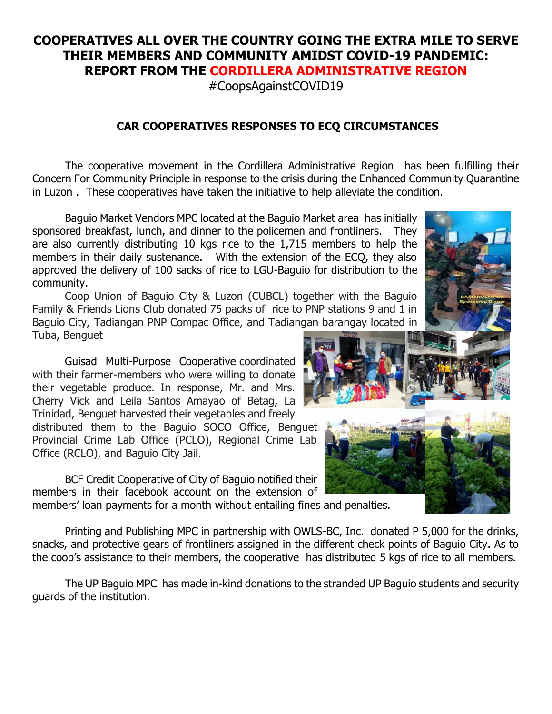## **COOPERATIVES ALL OVER THE COUNTRY GOING THE EXTRA MILE TO SERVE THEIR MEMBERS AND COMMUNITY AMIDST COVID-19 PANDEMIC: REPORT FROM THE CORDILLERA ADMINISTRATIVE REGION**

#CoopsAgainstCOVID19

## **CAR COOPERATIVES RESPONSES TO ECQ CIRCUMSTANCES**

The cooperative movement in the Cordillera Administrative Region has been fulfilling their Concern For Community Principle in response to the crisis during the Enhanced Community Quarantine in Luzon . These cooperatives have taken the initiative to help alleviate the condition.

Baguio Market Vendors MPC located at the Baguio Market area has initially sponsored breakfast, lunch, and dinner to the policemen and frontliners. They are also currently distributing 10 kgs rice to the 1,715 members to help the members in their daily sustenance. With the extension of the ECQ, they also approved the delivery of 100 sacks of rice to LGU-Baguio for distribution to the community.

Coop Union of Baguio City & Luzon (CUBCL) together with the Baguio Family & Friends Lions Club donated 75 packs of rice to PNP stations 9 and 1 in Baguio City, Tadiangan PNP Compac Office, and Tadiangan barangay located in Tuba, Benguet

Guisad Multi-Purpose Cooperative coordinated with their farmer-members who were willing to donate their vegetable produce. In response, Mr. and Mrs. Cherry Vick and Leila Santos Amayao of Betag, La Trinidad, Benguet harvested their vegetables and freely

distributed them to the Baguio SOCO Office, Benguet Provincial Crime Lab Office (PCLO), Regional Crime Lab Office (RCLO), and Baguio City Jail.

BCF Credit Cooperative of City of Baguio notified their members in their facebook account on the extension of

members' loan payments for a month without entailing fines and penalties.

Printing and Publishing MPC in partnership with OWLS-BC, Inc. donated P 5,000 for the drinks, snacks, and protective gears of frontliners assigned in the different check points of Baguio City. As to the coop's assistance to their members, the cooperative has distributed 5 kgs of rice to all members.

The UP Baguio MPC has made in-kind donations to the stranded UP Baguio students and security guards of the institution.

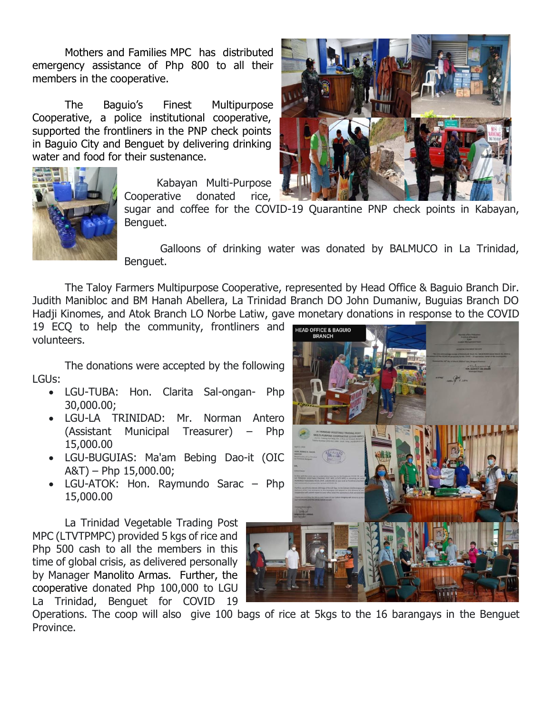Mothers and Families MPC has distributed emergency assistance of Php 800 to all their members in the cooperative.

The Baguio's Finest Multipurpose Cooperative, a police institutional cooperative, supported the frontliners in the PNP check points in Baguio City and Benguet by delivering drinking water and food for their sustenance.



Kabayan Multi-Purpose Cooperative donated rice,

sugar and coffee for the COVID-19 Quarantine PNP check points in Kabayan, Benguet.

Galloons of drinking water was donated by BALMUCO in La Trinidad, Benguet.

The Taloy Farmers Multipurpose Cooperative, represented by Head Office & Baguio Branch Dir. Judith Manibloc and BM Hanah Abellera, La Trinidad Branch DO John Dumaniw, Buguias Branch DO Hadji Kinomes, and Atok Branch LO Norbe Latiw, gave monetary donations in response to the COVID

19 ECO to help the community, frontliners and **HEAD OFFICE & BAGUIO** volunteers.

The donations were accepted by the following LGUs:

- LGU-TUBA: Hon. Clarita Sal-ongan- Php 30,000.00;
- LGU-LA TRINIDAD: Mr. Norman Antero (Assistant Municipal Treasurer) – Php 15,000.00
- LGU-BUGUIAS: Ma'am Bebing Dao-it (OIC A&T) – Php 15,000.00;
- LGU-ATOK: Hon. Raymundo Sarac Php 15,000.00

La Trinidad Vegetable Trading Post MPC (LTVTPMPC) provided 5 kgs of rice and Php 500 cash to all the members in this time of global crisis, as delivered personally by Manager Manolito Armas. Further, the cooperative donated Php 100,000 to LGU La Trinidad, Benguet for COVID 19

Operations. The coop will also give 100 bags of rice at 5kgs to the 16 barangays in the Benguet Province.



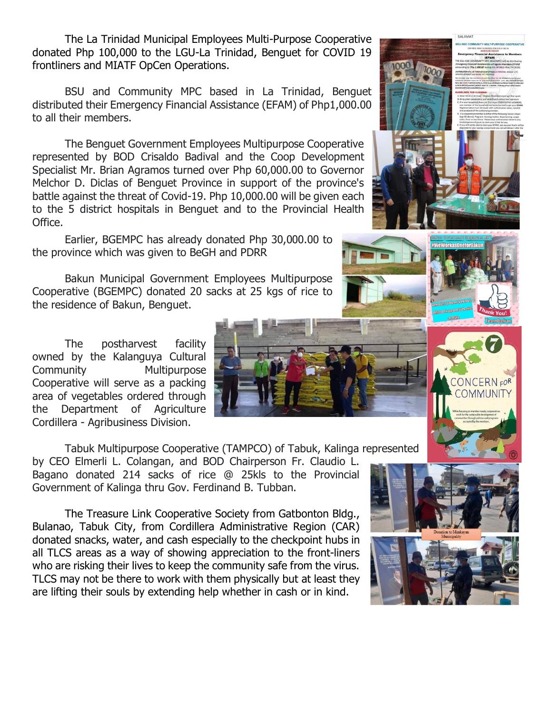The La Trinidad Municipal Employees Multi-Purpose Cooperative donated Php 100,000 to the LGU-La Trinidad, Benguet for COVID 19 frontliners and MIATF OpCen Operations.

BSU and Community MPC based in La Trinidad, Benguet distributed their Emergency Financial Assistance (EFAM) of Php1,000.00 to all their members.

The Benguet Government Employees Multipurpose Cooperative represented by BOD Crisaldo Badival and the Coop Development Specialist Mr. Brian Agramos turned over Php 60,000.00 to Governor Melchor D. Diclas of Benguet Province in support of the province's battle against the threat of Covid-19. Php 10,000.00 will be given each to the 5 district hospitals in Benguet and to the Provincial Health Office.

Earlier, BGEMPC has already donated Php 30,000.00 to the province which was given to BeGH and PDRR

Bakun Municipal Government Employees Multipurpose Cooperative (BGEMPC) donated 20 sacks at 25 kgs of rice to the residence of Bakun, Benguet.

The postharvest facility owned by the Kalanguya Cultural Community Multipurpose Cooperative will serve as a packing area of vegetables ordered through the Department of Agriculture Cordillera - Agribusiness Division.

Tabuk Multipurpose Cooperative (TAMPCO) of Tabuk, Kalinga represented

by CEO Elmerli L. Colangan, and BOD Chairperson Fr. Claudio L. Bagano donated 214 sacks of rice @ 25kls to the Provincial Government of Kalinga thru Gov. Ferdinand B. Tubban.

The Treasure Link Cooperative Society from Gatbonton Bldg., Bulanao, Tabuk City, from Cordillera Administrative Region (CAR) donated snacks, water, and cash especially to the checkpoint hubs in all TLCS areas as a way of showing appreciation to the front-liners who are risking their lives to keep the community safe from the virus. TLCS may not be there to work with them physically but at least they are lifting their souls by extending help whether in cash or in kind.



ONCERN<sub>FOR</sub>









SALAM